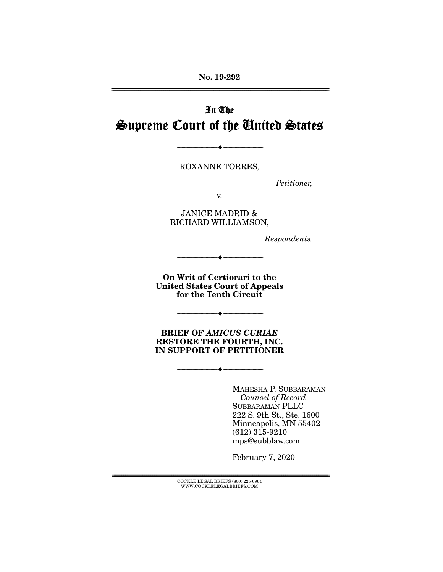No. 19-292 ================================================================================================================

# In The Supreme Court of the United States

ROXANNE TORRES,

--------------------------------- ---------------------------------

*Petitioner,* 

v.

JANICE MADRID & RICHARD WILLIAMSON,

*Respondents.* 

On Writ of Certiorari to the United States Court of Appeals for the Tenth Circuit

 $\bullet$   $-$ 

--------------------------------- ---------------------------------

BRIEF OF *AMICUS CURIAE* RESTORE THE FOURTH, INC. IN SUPPORT OF PETITIONER

--------------------------------- ---------------------------------

MAHESHA P. SUBBARAMAN *Counsel of Record* SUBBARAMAN PLLC 222 S. 9th St., Ste. 1600 Minneapolis, MN 55402 (612) 315-9210 mps@subblaw.com

February 7, 2020

 ${COCKLE}$  LEGAL BRIEFS (800) 225-6964 WWW.COCKLELEGALBRIEFS.COM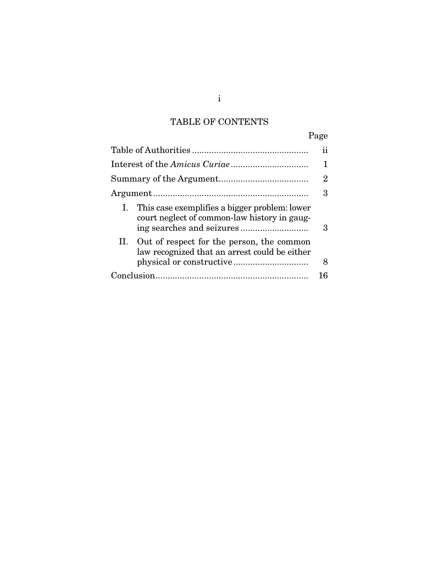# TABLE OF CONTENTS

|                                                                                                     | Page |
|-----------------------------------------------------------------------------------------------------|------|
|                                                                                                     | 11   |
|                                                                                                     |      |
|                                                                                                     | 2    |
|                                                                                                     | 3    |
| This case exemplifies a bigger problem: lower<br>Ι.<br>court neglect of common-law history in gaug- | З    |
| II. Out of respect for the person, the common<br>law recognized that an arrest could be either      | 8    |
|                                                                                                     |      |

i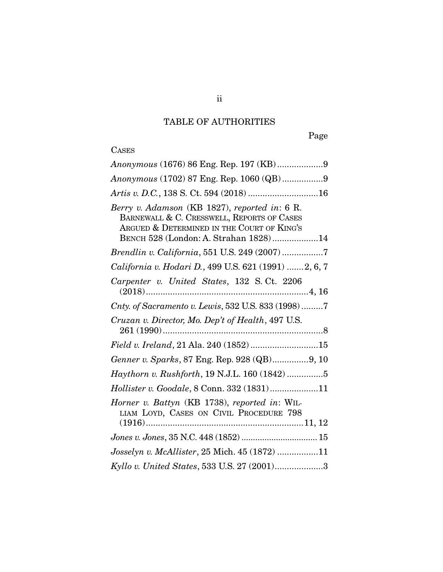# TABLE OF AUTHORITIES

# **CASES**

| Anonymous (1676) 86 Eng. Rep. 197 (KB)9                                                                                                                                            |
|------------------------------------------------------------------------------------------------------------------------------------------------------------------------------------|
| Anonymous (1702) 87 Eng. Rep. 1060 (QB)9                                                                                                                                           |
| Artis v. D.C., 138 S. Ct. 594 (2018) 16                                                                                                                                            |
| Berry v. Adamson (KB 1827), reported in: 6 R.<br>BARNEWALL & C. CRESSWELL, REPORTS OF CASES<br>ARGUED & DETERMINED IN THE COURT OF KING'S<br>BENCH 528 (London: A. Strahan 1828)14 |
|                                                                                                                                                                                    |
| California v. Hodari D., 499 U.S. 621 (1991) 2, 6, 7                                                                                                                               |
| Carpenter v. United States, 132 S.Ct. 2206                                                                                                                                         |
| Cnty. of Sacramento v. Lewis, 532 U.S. 833 (1998)7                                                                                                                                 |
| Cruzan v. Director, Mo. Dep't of Health, 497 U.S.                                                                                                                                  |
| Field v. Ireland, 21 Ala. 240 (1852)15                                                                                                                                             |
| Genner v. Sparks, 87 Eng. Rep. 928 (QB)9, 10                                                                                                                                       |
| Haythorn v. Rushforth, 19 N.J.L. 160 (1842) 5                                                                                                                                      |
| Hollister v. Goodale, 8 Conn. 332 (1831)11                                                                                                                                         |
| Horner v. Battyn (KB 1738), reported in: WIL-<br>LIAM LOYD, CASES ON CIVIL PROCEDURE 798                                                                                           |
|                                                                                                                                                                                    |
| $\it Joseph$ v. McAllister, 25 Mich. 45 $(1872)$ 11                                                                                                                                |
| Kyllo v. United States, 533 U.S. 27 (2001)3                                                                                                                                        |
|                                                                                                                                                                                    |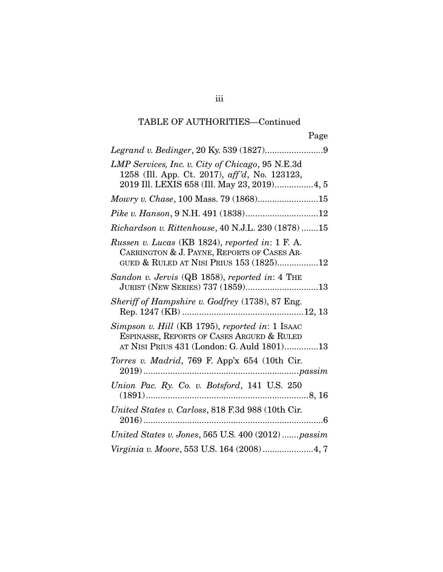## TABLE OF AUTHORITIES—Continued

| LMP Services, Inc. v. City of Chicago, 95 N.E.3d<br>1258 (Ill. App. Ct. 2017), aff'd, No. 123123,<br>2019 Ill. LEXIS 658 (Ill. May 23, 2019)4, 5 |
|--------------------------------------------------------------------------------------------------------------------------------------------------|
|                                                                                                                                                  |
| Pike v. Hanson, 9 N.H. 491 (1838)12                                                                                                              |
| Richardson v. Rittenhouse, 40 N.J.L. 230 (1878)15                                                                                                |
| Russen v. Lucas (KB 1824), reported in: 1 F. A.<br>CARRINGTON & J. PAYNE, REPORTS OF CASES AR-<br>GUED & RULED AT NISI PRIUS 153 (1825)12        |
| Sandon v. Jervis (QB 1858), reported in: 4 THE<br>JURIST (NEW SERIES) 737 (1859)13                                                               |
| Sheriff of Hampshire v. Godfrey (1738), 87 Eng.                                                                                                  |
| Simpson v. Hill (KB 1795), reported in: 1 ISAAC<br>ESPINASSE, REPORTS OF CASES ARGUED & RULED<br>AT NISI PRIUS 431 (London: G. Auld 1801)13      |
| Torres v. Madrid, 769 F. App'x 654 (10th Cir.                                                                                                    |
|                                                                                                                                                  |
| United States v. Carloss, 818 F.3d 988 (10th Cir.                                                                                                |
| United States v. Jones, 565 U.S. 400 (2012) passim                                                                                               |
| Virginia v. Moore, 553 U.S. 164 (2008)4, 7                                                                                                       |

iii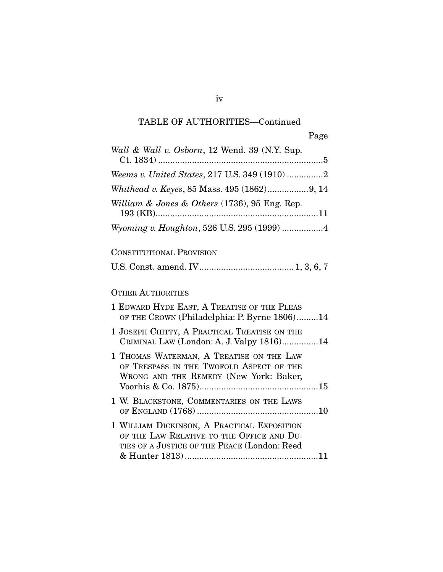## TABLE OF AUTHORITIES—Continued

| Wall & Wall v. Osborn, 12 Wend. 39 (N.Y. Sup.                                                                                            |
|------------------------------------------------------------------------------------------------------------------------------------------|
| Weems v. United States, 217 U.S. 349 (1910) 2                                                                                            |
| Whithead v. Keyes, 85 Mass. 495 (1862)9, 14                                                                                              |
| William & Jones & Others (1736), 95 Eng. Rep.                                                                                            |
| Wyoming v. Houghton, 526 U.S. 295 (1999) 4                                                                                               |
| <b>CONSTITUTIONAL PROVISION</b>                                                                                                          |
|                                                                                                                                          |
| <b>OTHER AUTHORITIES</b>                                                                                                                 |
| 1 EDWARD HYDE EAST, A TREATISE OF THE PLEAS<br>OF THE CROWN (Philadelphia: P. Byrne 1806)14                                              |
| 1 JOSEPH CHITTY, A PRACTICAL TREATISE ON THE<br>CRIMINAL LAW (London: A. J. Valpy 1816)14                                                |
| 1 THOMAS WATERMAN, A TREATISE ON THE LAW<br>OF TRESPASS IN THE TWOFOLD ASPECT OF THE<br>WRONG AND THE REMEDY (New York: Baker,           |
| 1 W. BLACKSTONE, COMMENTARIES ON THE LAWS                                                                                                |
| 1 WILLIAM DICKINSON, A PRACTICAL EXPOSITION<br>OF THE LAW RELATIVE TO THE OFFICE AND DU-<br>TIES OF A JUSTICE OF THE PEACE (London: Reed |

iv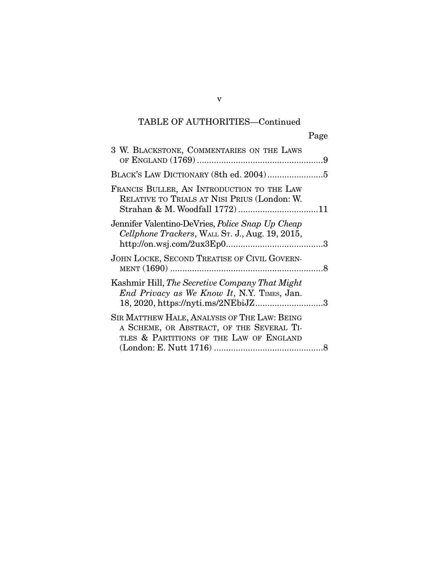## TABLE OF AUTHORITIES—Continued

|                                                                                                                                                    | Page |
|----------------------------------------------------------------------------------------------------------------------------------------------------|------|
| 3 W. BLACKSTONE, COMMENTARIES ON THE LAWS                                                                                                          |      |
|                                                                                                                                                    |      |
| FRANCIS BULLER, AN INTRODUCTION TO THE LAW<br>RELATIVE TO TRIALS AT NISI PRIUS (London: W.                                                         |      |
| Jennifer Valentino-DeVries, <i>Police Snap Up Cheap</i><br>Cellphone Trackers, WALL St. J., Aug. 19, 2015,                                         |      |
| JOHN LOCKE, SECOND TREATISE OF CIVIL GOVERN-                                                                                                       |      |
| Kashmir Hill, <i>The Secretive Company That Might</i><br><i>End Privacy as We Know It</i> , N.Y. TIMES, Jan.<br>18, 2020, https://nyti.ms/2NEbiJZ3 |      |
| SIR MATTHEW HALE, ANALYSIS OF THE LAW: BEING<br>A SCHEME, OR ABSTRACT, OF THE SEVERAL TI-<br>TLES & PARTITIONS OF THE LAW OF ENGLAND               |      |
|                                                                                                                                                    |      |

v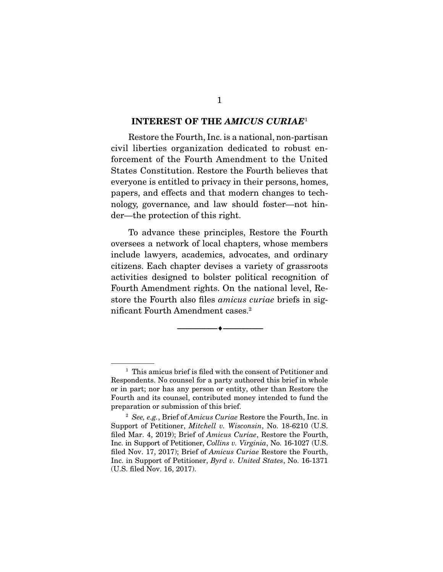#### INTEREST OF THE *AMICUS CURIAE*<sup>1</sup>

Restore the Fourth, Inc. is a national, non-partisan civil liberties organization dedicated to robust enforcement of the Fourth Amendment to the United States Constitution. Restore the Fourth believes that everyone is entitled to privacy in their persons, homes, papers, and effects and that modern changes to technology, governance, and law should foster—not hinder—the protection of this right.

 To advance these principles, Restore the Fourth oversees a network of local chapters, whose members include lawyers, academics, advocates, and ordinary citizens. Each chapter devises a variety of grassroots activities designed to bolster political recognition of Fourth Amendment rights. On the national level, Restore the Fourth also files *amicus curiae* briefs in significant Fourth Amendment cases.2

--------------------------------- ---------------------------------

<sup>&</sup>lt;sup>1</sup> This amicus brief is filed with the consent of Petitioner and Respondents. No counsel for a party authored this brief in whole or in part; nor has any person or entity, other than Restore the Fourth and its counsel, contributed money intended to fund the preparation or submission of this brief.

<sup>2</sup> *See, e.g.*, Brief of *Amicus Curiae* Restore the Fourth, Inc. in Support of Petitioner, *Mitchell v. Wisconsin*, No. 18-6210 (U.S. filed Mar. 4, 2019); Brief of *Amicus Curiae*, Restore the Fourth, Inc. in Support of Petitioner, *Collins v. Virginia*, No. 16-1027 (U.S. filed Nov. 17, 2017); Brief of *Amicus Curiae* Restore the Fourth, Inc. in Support of Petitioner, *Byrd v. United States*, No. 16-1371 (U.S. filed Nov. 16, 2017).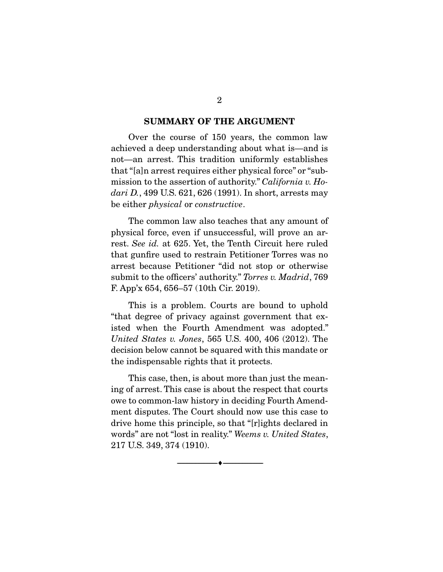#### SUMMARY OF THE ARGUMENT

Over the course of 150 years, the common law achieved a deep understanding about what is—and is not—an arrest. This tradition uniformly establishes that "[a]n arrest requires either physical force" or "submission to the assertion of authority." *California v. Hodari D.*, 499 U.S. 621, 626 (1991). In short, arrests may be either *physical* or *constructive*.

 The common law also teaches that any amount of physical force, even if unsuccessful, will prove an arrest. *See id.* at 625. Yet, the Tenth Circuit here ruled that gunfire used to restrain Petitioner Torres was no arrest because Petitioner "did not stop or otherwise submit to the officers' authority." *Torres v. Madrid*, 769 F. App'x 654, 656–57 (10th Cir. 2019).

 This is a problem. Courts are bound to uphold "that degree of privacy against government that existed when the Fourth Amendment was adopted." *United States v. Jones*, 565 U.S. 400, 406 (2012). The decision below cannot be squared with this mandate or the indispensable rights that it protects.

 This case, then, is about more than just the meaning of arrest. This case is about the respect that courts owe to common-law history in deciding Fourth Amendment disputes. The Court should now use this case to drive home this principle, so that "[r]ights declared in words" are not "lost in reality." *Weems v. United States*, 217 U.S. 349, 374 (1910).

--------------------------------- ---------------------------------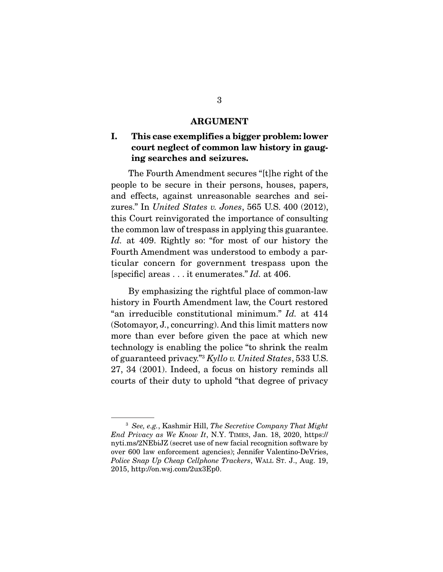#### ARGUMENT

### I. This case exemplifies a bigger problem: lower court neglect of common law history in gauging searches and seizures.

The Fourth Amendment secures "[t]he right of the people to be secure in their persons, houses, papers, and effects, against unreasonable searches and seizures." In *United States v. Jones*, 565 U.S. 400 (2012), this Court reinvigorated the importance of consulting the common law of trespass in applying this guarantee. *Id.* at 409. Rightly so: "for most of our history the Fourth Amendment was understood to embody a particular concern for government trespass upon the [specific] areas . . . it enumerates." *Id.* at 406.

 By emphasizing the rightful place of common-law history in Fourth Amendment law, the Court restored "an irreducible constitutional minimum." *Id.* at 414 (Sotomayor, J., concurring). And this limit matters now more than ever before given the pace at which new technology is enabling the police "to shrink the realm of guaranteed privacy."3 *Kyllo v. United States*, 533 U.S. 27, 34 (2001). Indeed, a focus on history reminds all courts of their duty to uphold *"*that degree of privacy

<sup>3</sup> *See, e.g.*, Kashmir Hill, *The Secretive Company That Might End Privacy as We Know It*, N.Y. TIMES, Jan. 18, 2020, https:// nyti.ms/2NEbiJZ (secret use of new facial recognition software by over 600 law enforcement agencies); Jennifer Valentino-DeVries, *Police Snap Up Cheap Cellphone Trackers*, WALL ST. J., Aug. 19, 2015, http://on.wsj.com/2ux3Ep0.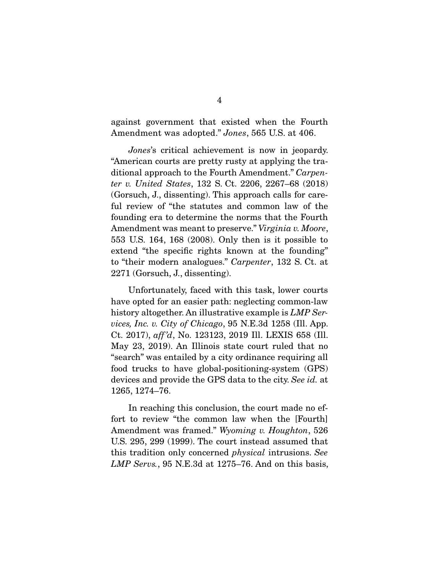against government that existed when the Fourth Amendment was adopted." *Jones*, 565 U.S. at 406.

*Jones*'s critical achievement is now in jeopardy. "American courts are pretty rusty at applying the traditional approach to the Fourth Amendment." *Carpenter v. United States*, 132 S. Ct. 2206, 2267–68 (2018) (Gorsuch, J., dissenting). This approach calls for careful review of "the statutes and common law of the founding era to determine the norms that the Fourth Amendment was meant to preserve." *Virginia v. Moore*, 553 U.S. 164, 168 (2008). Only then is it possible to extend "the specific rights known at the founding" to "their modern analogues." *Carpenter*, 132 S. Ct. at 2271 (Gorsuch, J., dissenting).

 Unfortunately, faced with this task, lower courts have opted for an easier path: neglecting common-law history altogether. An illustrative example is *LMP Services, Inc. v. City of Chicago*, 95 N.E.3d 1258 (Ill. App. Ct. 2017), *aff 'd*, No. 123123, 2019 Ill. LEXIS 658 (Ill. May 23, 2019). An Illinois state court ruled that no "search" was entailed by a city ordinance requiring all food trucks to have global-positioning-system (GPS) devices and provide the GPS data to the city. *See id.* at 1265, 1274–76.

 In reaching this conclusion, the court made no effort to review "the common law when the [Fourth] Amendment was framed." *Wyoming v. Houghton*, 526 U.S. 295, 299 (1999). The court instead assumed that this tradition only concerned *physical* intrusions. *See LMP Servs.*, 95 N.E.3d at 1275–76. And on this basis,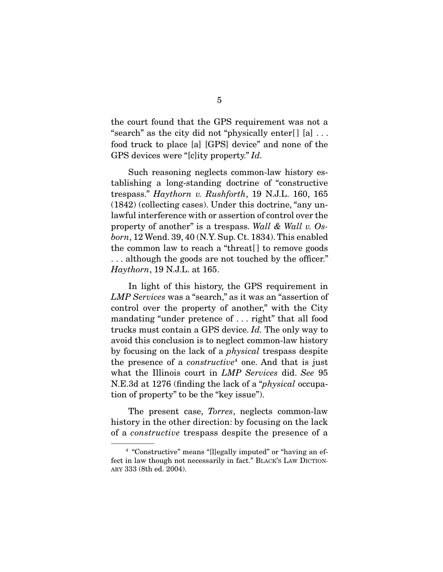the court found that the GPS requirement was not a "search" as the city did not "physically enter[] [a] ... food truck to place [a] [GPS] device" and none of the GPS devices were "[c]ity property." *Id.*

 Such reasoning neglects common-law history establishing a long-standing doctrine of "constructive trespass." *Haythorn v. Rushforth*, 19 N.J.L. 160, 165 (1842) (collecting cases). Under this doctrine, "any unlawful interference with or assertion of control over the property of another" is a trespass. *Wall & Wall v. Osborn*, 12 Wend. 39, 40 (N.Y. Sup. Ct. 1834). This enabled the common law to reach a "threat[ ] to remove goods . . . although the goods are not touched by the officer." *Haythorn*, 19 N.J.L. at 165.

 In light of this history, the GPS requirement in *LMP Services* was a "search," as it was an "assertion of control over the property of another," with the City mandating "under pretence of . . . right" that all food trucks must contain a GPS device. *Id.* The only way to avoid this conclusion is to neglect common-law history by focusing on the lack of a *physical* trespass despite the presence of a *constructive*<sup>4</sup> one. And that is just what the Illinois court in *LMP Services* did. *See* 95 N.E.3d at 1276 (finding the lack of a "*physical* occupation of property" to be the "key issue").

 The present case, *Torres*, neglects common-law history in the other direction: by focusing on the lack of a *constructive* trespass despite the presence of a

<sup>&</sup>lt;sup>4</sup> "Constructive" means "[l]egally imputed" or "having an effect in law though not necessarily in fact." BLACK'S LAW DICTION-ARY 333 (8th ed. 2004).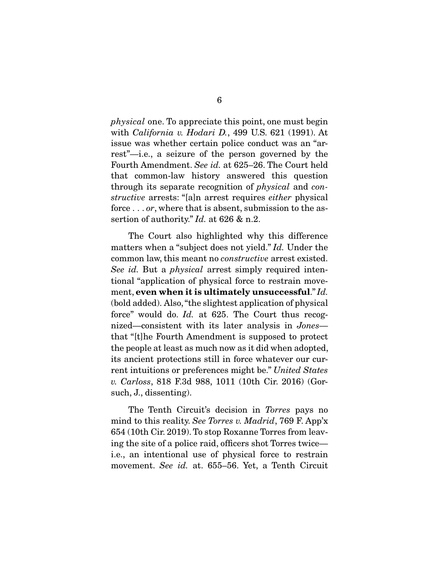*physical* one. To appreciate this point, one must begin with *California v. Hodari D.*, 499 U.S. 621 (1991). At issue was whether certain police conduct was an "arrest"—i.e., a seizure of the person governed by the Fourth Amendment. *See id.* at 625–26. The Court held that common-law history answered this question through its separate recognition of *physical* and *constructive* arrests: "[a]n arrest requires *either* physical force . . . *or*, where that is absent, submission to the assertion of authority." *Id.* at 626 & n.2.

 The Court also highlighted why this difference matters when a "subject does not yield." *Id.* Under the common law, this meant no *constructive* arrest existed. *See id.* But a *physical* arrest simply required intentional "application of physical force to restrain movement, even when it is ultimately unsuccessful." *Id.*  (bold added). Also, "the slightest application of physical force" would do. *Id.* at 625. The Court thus recognized—consistent with its later analysis in *Jones* that "[t]he Fourth Amendment is supposed to protect the people at least as much now as it did when adopted, its ancient protections still in force whatever our current intuitions or preferences might be." *United States v. Carloss*, 818 F.3d 988, 1011 (10th Cir. 2016) (Gorsuch, J., dissenting).

The Tenth Circuit's decision in *Torres* pays no mind to this reality. *See Torres v. Madrid*, 769 F. App'x 654 (10th Cir. 2019). To stop Roxanne Torres from leaving the site of a police raid, officers shot Torres twice i.e., an intentional use of physical force to restrain movement. *See id.* at. 655–56. Yet, a Tenth Circuit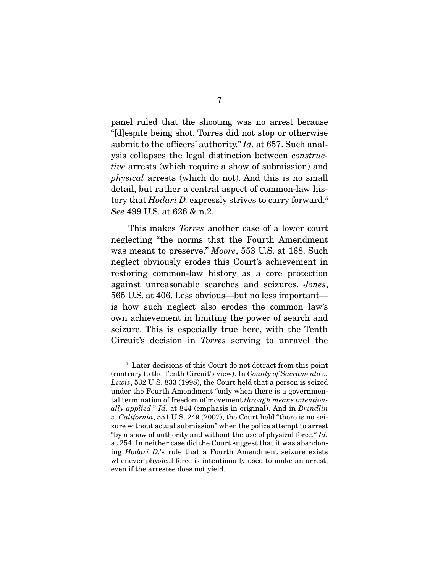panel ruled that the shooting was no arrest because "[d]espite being shot, Torres did not stop or otherwise submit to the officers' authority." *Id.* at 657. Such analysis collapses the legal distinction between *constructive* arrests (which require a show of submission) and *physical* arrests (which do not). And this is no small detail, but rather a central aspect of common-law history that *Hodari D.* expressly strives to carry forward.<sup>5</sup> *See* 499 U.S. at 626 & n.2.

 This makes *Torres* another case of a lower court neglecting "the norms that the Fourth Amendment was meant to preserve." *Moore*, 553 U.S. at 168. Such neglect obviously erodes this Court's achievement in restoring common-law history as a core protection against unreasonable searches and seizures. *Jones*, 565 U.S. at 406. Less obvious—but no less important is how such neglect also erodes the common law's own achievement in limiting the power of search and seizure. This is especially true here, with the Tenth Circuit's decision in *Torres* serving to unravel the

<sup>5</sup> Later decisions of this Court do not detract from this point (contrary to the Tenth Circuit's view). In *County of Sacramento v. Lewis*, 532 U.S. 833 (1998), the Court held that a person is seized under the Fourth Amendment "only when there is a governmental termination of freedom of movement *through means intentionally applied*." *Id.* at 844 (emphasis in original). And in *Brendlin v. California*, 551 U.S. 249 (2007), the Court held "there is no seizure without actual submission" when the police attempt to arrest "by a show of authority and without the use of physical force." *Id.* at 254. In neither case did the Court suggest that it was abandoning *Hodari D.*'s rule that a Fourth Amendment seizure exists whenever physical force is intentionally used to make an arrest, even if the arrestee does not yield.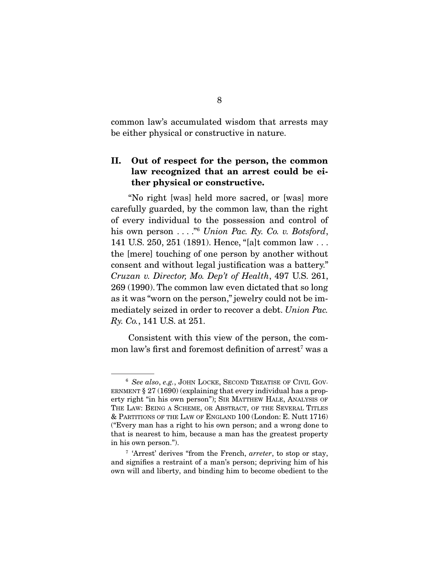common law's accumulated wisdom that arrests may be either physical or constructive in nature.

### II. Out of respect for the person, the common law recognized that an arrest could be either physical or constructive.

 "No right [was] held more sacred, or [was] more carefully guarded, by the common law, than the right of every individual to the possession and control of his own person . . . . . *n*<sup>6</sup> *Union Pac. Ry. Co. v. Botsford*, 141 U.S. 250, 251 (1891). Hence, "[a]t common law . . . the [mere] touching of one person by another without consent and without legal justification was a battery." *Cruzan v. Director, Mo. Dep't of Health*, 497 U.S. 261, 269 (1990). The common law even dictated that so long as it was "worn on the person," jewelry could not be immediately seized in order to recover a debt. *Union Pac. Ry. Co.*, 141 U.S. at 251.

 Consistent with this view of the person, the common law's first and foremost definition of  $\arctan^7$  was a

<sup>6</sup> *See also*, *e.g.*, JOHN LOCKE, SECOND TREATISE OF CIVIL GOV-ERNMENT § 27 (1690) (explaining that every individual has a property right "in his own person"); SIR MATTHEW HALE, ANALYSIS OF THE LAW: BEING A SCHEME, OR ABSTRACT, OF THE SEVERAL TITLES & PARTITIONS OF THE LAW OF ENGLAND 100 (London: E. Nutt 1716) ("Every man has a right to his own person; and a wrong done to that is nearest to him, because a man has the greatest property in his own person.").

<sup>7</sup> 'Arrest' derives "from the French, *arreter*, to stop or stay, and signifies a restraint of a man's person; depriving him of his own will and liberty, and binding him to become obedient to the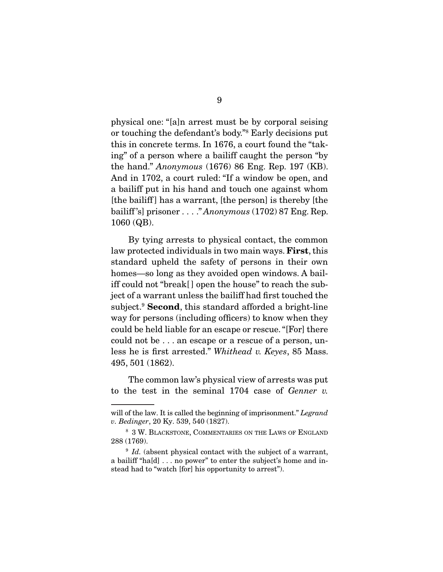physical one: "[a]n arrest must be by corporal seising or touching the defendant's body."8 Early decisions put this in concrete terms. In 1676, a court found the "taking" of a person where a bailiff caught the person "by the hand." *Anonymous* (1676) 86 Eng. Rep. 197 (KB). And in 1702, a court ruled: "If a window be open, and a bailiff put in his hand and touch one against whom [the bailiff ] has a warrant, [the person] is thereby [the bailiff 's] prisoner . . . ." *Anonymous* (1702) 87 Eng. Rep. 1060 (QB).

 By tying arrests to physical contact, the common law protected individuals in two main ways. **First**, this standard upheld the safety of persons in their own homes—so long as they avoided open windows. A bailiff could not "break[ ] open the house" to reach the subject of a warrant unless the bailiff had first touched the subject.<sup>9</sup> Second, this standard afforded a bright-line way for persons (including officers) to know when they could be held liable for an escape or rescue. "[For] there could not be . . . an escape or a rescue of a person, unless he is first arrested." *Whithead v. Keyes*, 85 Mass. 495, 501 (1862).

 The common law's physical view of arrests was put to the test in the seminal 1704 case of *Genner v.* 

will of the law. It is called the beginning of imprisonment." *Legrand v. Bedinger*, 20 Ky. 539, 540 (1827).

<sup>8</sup> 3 W. BLACKSTONE, COMMENTARIES ON THE LAWS OF ENGLAND 288 (1769).

<sup>&</sup>lt;sup>9</sup> *Id.* (absent physical contact with the subject of a warrant, a bailiff "ha[d] . . . no power" to enter the subject's home and instead had to "watch [for] his opportunity to arrest").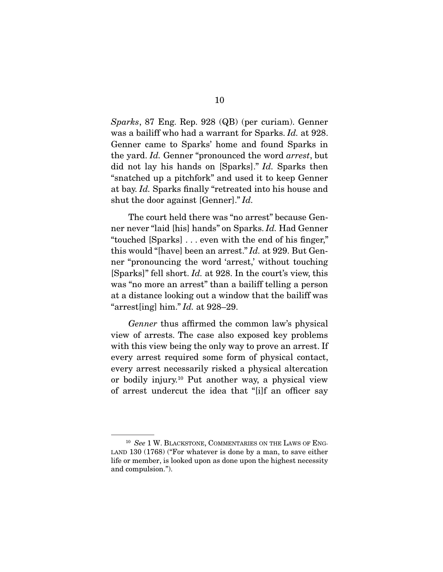*Sparks*, 87 Eng. Rep. 928 (QB) (per curiam). Genner was a bailiff who had a warrant for Sparks. *Id.* at 928. Genner came to Sparks' home and found Sparks in the yard. *Id.* Genner "pronounced the word *arrest*, but did not lay his hands on [Sparks]." *Id.* Sparks then "snatched up a pitchfork" and used it to keep Genner at bay. *Id.* Sparks finally "retreated into his house and shut the door against [Genner]." *Id.* 

The court held there was "no arrest" because Genner never "laid [his] hands" on Sparks. *Id.* Had Genner "touched [Sparks] . . . even with the end of his finger," this would "[have] been an arrest." *Id.* at 929. But Genner "pronouncing the word 'arrest,' without touching [Sparks]" fell short. *Id.* at 928. In the court's view, this was "no more an arrest" than a bailiff telling a person at a distance looking out a window that the bailiff was "arrest[ing] him." *Id.* at 928–29.

*Genner* thus affirmed the common law's physical view of arrests. The case also exposed key problems with this view being the only way to prove an arrest. If every arrest required some form of physical contact, every arrest necessarily risked a physical altercation or bodily injury.10 Put another way, a physical view of arrest undercut the idea that "[i]f an officer say

<sup>10</sup> *See* 1 W. BLACKSTONE, COMMENTARIES ON THE LAWS OF ENG-LAND 130 (1768) ("For whatever is done by a man, to save either life or member, is looked upon as done upon the highest necessity and compulsion.").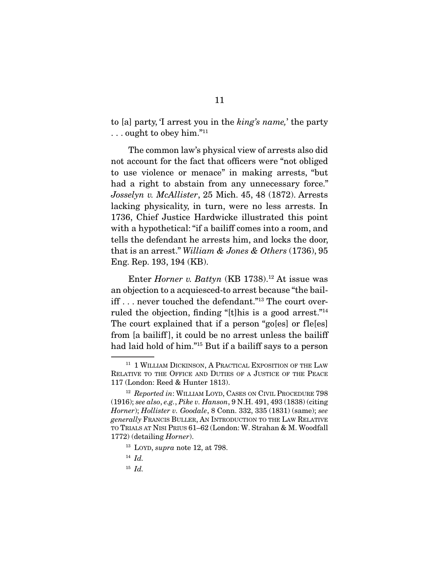to [a] party, 'I arrest you in the *king's name,*' the party . . . ought to obey him."11

 The common law's physical view of arrests also did not account for the fact that officers were "not obliged to use violence or menace" in making arrests, "but had a right to abstain from any unnecessary force." *Josselyn v. McAllister*, 25 Mich. 45, 48 (1872). Arrests lacking physicality, in turn, were no less arrests. In 1736, Chief Justice Hardwicke illustrated this point with a hypothetical: "if a bailiff comes into a room, and tells the defendant he arrests him, and locks the door, that is an arrest." *William & Jones & Others* (1736), 95 Eng. Rep. 193, 194 (KB).

Enter *Horner v. Battyn* (KB 1738).<sup>12</sup> At issue was an objection to a acquiesced-to arrest because "the bailiff . . . never touched the defendant."13 The court overruled the objection, finding "[t]his is a good arrest."14 The court explained that if a person "go[es] or fle[es] from [a bailiff ], it could be no arrest unless the bailiff had laid hold of him."15 But if a bailiff says to a person

<sup>15</sup> *Id.* 

<sup>&</sup>lt;sup>11</sup> 1 WILLIAM DICKINSON, A PRACTICAL EXPOSITION OF THE LAW RELATIVE TO THE OFFICE AND DUTIES OF A JUSTICE OF THE PEACE 117 (London: Reed & Hunter 1813).

<sup>&</sup>lt;sup>12</sup> Reported in: WILLIAM LOYD, CASES ON CIVIL PROCEDURE 798 (1916); *see also*, *e.g.*, *Pike v. Hanson*, 9 N.H. 491, 493 (1838) (citing *Horner*); *Hollister v. Goodale*, 8 Conn. 332, 335 (1831) (same); *see generally* FRANCIS BULLER, AN INTRODUCTION TO THE LAW RELATIVE TO TRIALS AT NISI PRIUS 61–62 (London: W. Strahan & M. Woodfall 1772) (detailing *Horner*).

<sup>13</sup> LOYD, *supra* note 12, at 798.

 $14$  *Id.*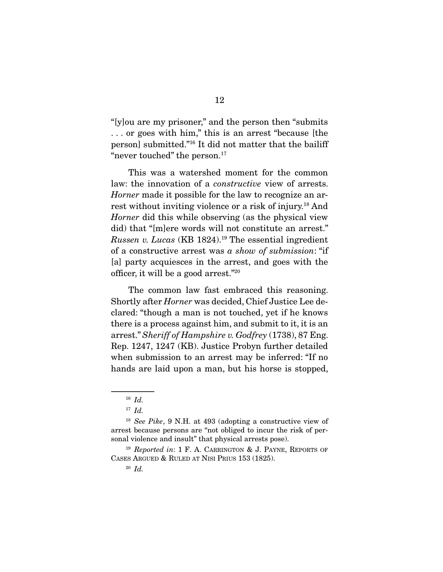"[y]ou are my prisoner," and the person then "submits . . . or goes with him," this is an arrest "because [the person] submitted."16 It did not matter that the bailiff "never touched" the person.<sup>17</sup>

 This was a watershed moment for the common law: the innovation of a *constructive* view of arrests. *Horner* made it possible for the law to recognize an arrest without inviting violence or a risk of injury.18 And *Horner* did this while observing (as the physical view did) that "[m]ere words will not constitute an arrest." *Russen v. Lucas* (KB 1824).19 The essential ingredient of a constructive arrest was *a show of submission*: "if [a] party acquiesces in the arrest, and goes with the officer, it will be a good arrest."20

 The common law fast embraced this reasoning. Shortly after *Horner* was decided, Chief Justice Lee declared: "though a man is not touched, yet if he knows there is a process against him, and submit to it, it is an arrest." *Sheriff of Hampshire v. Godfrey* (1738), 87 Eng. Rep. 1247, 1247 (KB). Justice Probyn further detailed when submission to an arrest may be inferred: "If no hands are laid upon a man, but his horse is stopped,

<sup>16</sup> *Id.* 

 $17$  *Id.* 

<sup>18</sup> *See Pike*, 9 N.H. at 493 (adopting a constructive view of arrest because persons are "not obliged to incur the risk of personal violence and insult" that physical arrests pose).

<sup>19</sup> *Reported in*: 1 F. A. CARRINGTON & J. PAYNE, REPORTS OF CASES ARGUED & RULED AT NISI PRIUS 153 (1825).

<sup>20</sup> *Id.*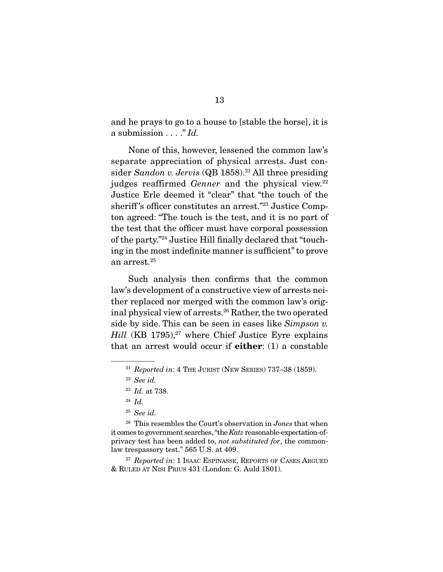and he prays to go to a house to [stable the horse], it is a submission . . . ." *Id.*

 None of this, however, lessened the common law's separate appreciation of physical arrests. Just consider *Sandon v. Jervis* (QB 1858).<sup>21</sup> All three presiding judges reaffirmed *Genner* and the physical view.<sup>22</sup> Justice Erle deemed it "clear" that "the touch of the sheriff's officer constitutes an arrest."<sup>23</sup> Justice Compton agreed: "The touch is the test, and it is no part of the test that the officer must have corporal possession of the party."24 Justice Hill finally declared that "touching in the most indefinite manner is sufficient" to prove an arrest.25

 Such analysis then confirms that the common law's development of a constructive view of arrests neither replaced nor merged with the common law's original physical view of arrests.<sup>26</sup> Rather, the two operated side by side. This can be seen in cases like *Simpson v. Hill* (KB 1795),<sup>27</sup> where Chief Justice Eyre explains that an arrest would occur if  $either: (1)$  a constable

<sup>26</sup> This resembles the Court's observation in *Jones* that when it comes to government searches, "the *Katz* reasonable-expectation-ofprivacy test has been added to, *not substituted for*, the commonlaw trespassory test." 565 U.S. at 409.

<sup>27</sup> *Reported in*: 1 ISAAC ESPINASSE, REPORTS OF CASES ARGUED & RULED AT NISI PRIUS 431 (London: G. Auld 1801).

<sup>21</sup> *Reported in*: 4 THE JURIST (NEW SERIES) 737–38 (1859).

<sup>22</sup> *See id.* 

<sup>23</sup> *Id.* at 738.

<sup>24</sup> *Id.* 

<sup>25</sup> *See id.*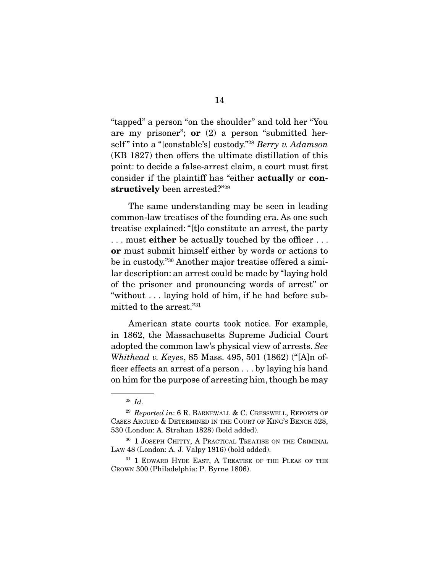"tapped" a person "on the shoulder" and told her "You are my prisoner"; **or**  $(2)$  a person "submitted herself " into a "[constable's] custody."28 *Berry v. Adamson* (KB 1827) then offers the ultimate distillation of this point: to decide a false-arrest claim, a court must first consider if the plaintiff has "either actually or constructively been arrested?"29

 The same understanding may be seen in leading common-law treatises of the founding era. As one such treatise explained: "[t]o constitute an arrest, the party ... must **either** be actually touched by the officer... or must submit himself either by words or actions to be in custody."30 Another major treatise offered a similar description: an arrest could be made by "laying hold of the prisoner and pronouncing words of arrest" or "without . . . laying hold of him, if he had before submitted to the arrest."31

 American state courts took notice. For example, in 1862, the Massachusetts Supreme Judicial Court adopted the common law's physical view of arrests. *See Whithead v. Keyes*, 85 Mass. 495, 501 (1862) ("[A]n officer effects an arrest of a person . . . by laying his hand on him for the purpose of arresting him, though he may

<sup>28</sup> *Id.* 

<sup>29</sup> *Reported in*: 6 R. BARNEWALL & C. CRESSWELL, REPORTS OF CASES ARGUED & DETERMINED IN THE COURT OF KING'S BENCH 528, 530 (London: A. Strahan 1828) (bold added).

<sup>&</sup>lt;sup>30</sup> 1 JOSEPH CHITTY, A PRACTICAL TREATISE ON THE CRIMINAL LAW 48 (London: A. J. Valpy 1816) (bold added).

<sup>&</sup>lt;sup>31</sup> 1 EDWARD HYDE EAST, A TREATISE OF THE PLEAS OF THE CROWN 300 (Philadelphia: P. Byrne 1806).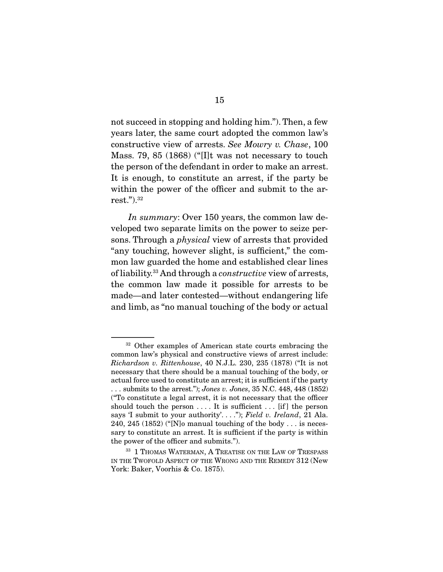not succeed in stopping and holding him."). Then, a few years later, the same court adopted the common law's constructive view of arrests. *See Mowry v. Chase*, 100 Mass. 79, 85 (1868) ("[I]t was not necessary to touch the person of the defendant in order to make an arrest. It is enough, to constitute an arrest, if the party be within the power of the officer and submit to the arrest.").32

*In summary*: Over 150 years, the common law developed two separate limits on the power to seize persons. Through a *physical* view of arrests that provided "any touching, however slight, is sufficient," the common law guarded the home and established clear lines of liability.33 And through a *constructive* view of arrests, the common law made it possible for arrests to be made—and later contested—without endangering life and limb, as "no manual touching of the body or actual

<sup>&</sup>lt;sup>32</sup> Other examples of American state courts embracing the common law's physical and constructive views of arrest include: *Richardson v. Rittenhouse*, 40 N.J.L. 230, 235 (1878) ("It is not necessary that there should be a manual touching of the body, or actual force used to constitute an arrest; it is sufficient if the party . . . submits to the arrest."); *Jones v. Jones*, 35 N.C. 448, 448 (1852) ("To constitute a legal arrest, it is not necessary that the officer should touch the person  $\dots$ . It is sufficient  $\dots$  [if] the person says 'I submit to your authority'. . . ."); *Field v. Ireland*, 21 Ala. 240, 245 (1852) ("[N]o manual touching of the body  $\dots$  is necessary to constitute an arrest. It is sufficient if the party is within the power of the officer and submits.").

<sup>&</sup>lt;sup>33</sup> 1 THOMAS WATERMAN, A TREATISE ON THE LAW OF TRESPASS IN THE TWOFOLD ASPECT OF THE WRONG AND THE REMEDY 312 (New York: Baker, Voorhis & Co. 1875).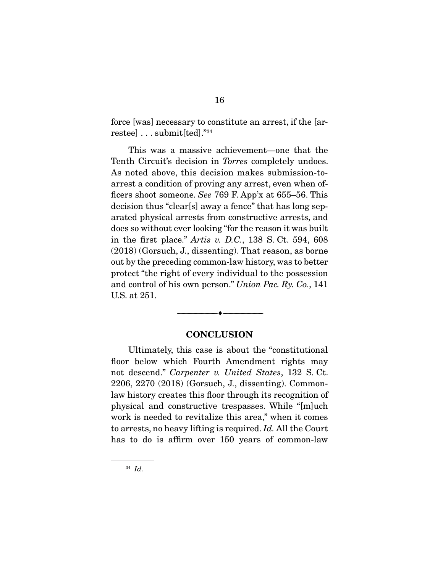force [was] necessary to constitute an arrest, if the [arrestee] . . . submit[ted]."34

 This was a massive achievement—one that the Tenth Circuit's decision in *Torres* completely undoes. As noted above, this decision makes submission-toarrest a condition of proving any arrest, even when officers shoot someone. *See* 769 F. App'x at 655–56. This decision thus "clear[s] away a fence" that has long separated physical arrests from constructive arrests, and does so without ever looking "for the reason it was built in the first place." *Artis v. D.C.*, 138 S. Ct. 594, 608 (2018) (Gorsuch, J., dissenting). That reason, as borne out by the preceding common-law history, was to better protect "the right of every individual to the possession and control of his own person." *Union Pac. Ry. Co.*, 141 U.S. at 251.

#### **CONCLUSION**

--------------------------------- ---------------------------------

 Ultimately, this case is about the "constitutional floor below which Fourth Amendment rights may not descend." *Carpenter v. United States*, 132 S. Ct. 2206, 2270 (2018) (Gorsuch, J., dissenting). Commonlaw history creates this floor through its recognition of physical and constructive trespasses. While "[m]uch work is needed to revitalize this area," when it comes to arrests, no heavy lifting is required. *Id.* All the Court has to do is affirm over 150 years of common-law

<sup>34</sup> *Id.*